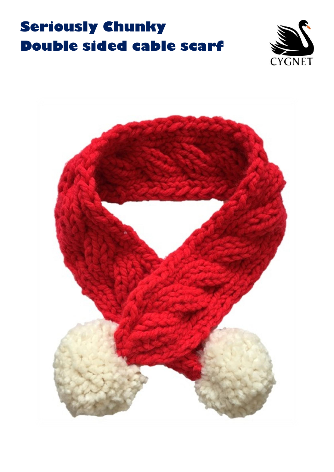## **Seriously Chunky Double sided cable scarf**